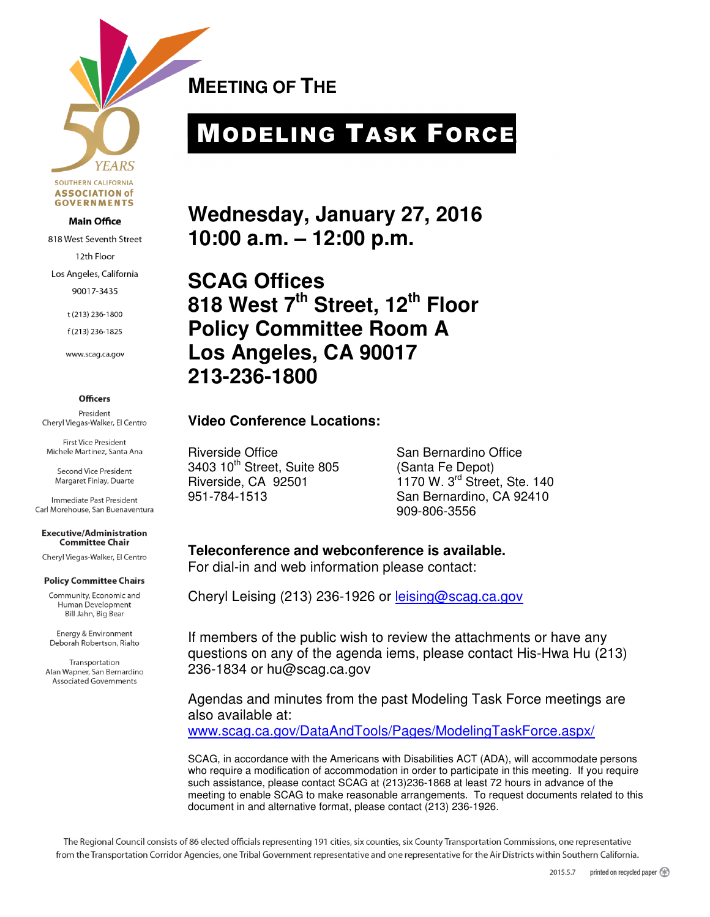

#### **Main Office**

818 West Seventh Street

12th Floor

Los Angeles, California

90017-3435

t (213) 236-1800

f(213) 236-1825

www.scag.ca.gov

#### **Officers**

President Cheryl Viegas-Walker, El Centro

**First Vice President** Michele Martinez, Santa Ana

Second Vice President Margaret Finlay, Duarte

Immediate Past President Carl Morehouse, San Buenaventura

**Executive/Administration Committee Chair** 

Cheryl Viegas-Walker, El Centro

#### **Policy Committee Chairs**

Community, Economic and Human Development Bill Jahn, Big Bear

Energy & Environment Deborah Robertson, Rialto

Transportation Alan Wapner, San Bernardino **Associated Governments** 

**MEETING OF THE** 

# MODELING TASK FORCE

**Wednesday, January 27, 2016 10:00 a.m. – 12:00 p.m.** 

**SCAG Offices 818 West 7th Street, 12th Floor Policy Committee Room A Los Angeles, CA 90017 213-236-1800** 

#### **Video Conference Locations:**

Riverside Office San Bernardino Office 3403 10th Street, Suite 805 (Santa Fe Depot)

Riverside, CA 92501 1170 W. 3<sup>rd</sup> Street, Ste. 140 951-784-1513 San Bernardino, CA 92410 909-806-3556

**Teleconference and webconference is available.**  For dial-in and web information please contact:

Cheryl Leising (213) 236-1926 or leising@scag.ca.gov

If members of the public wish to review the attachments or have any questions on any of the agenda iems, please contact His-Hwa Hu (213) 236-1834 or hu@scag.ca.gov

Agendas and minutes from the past Modeling Task Force meetings are also available at:

www.scag.ca.gov/DataAndTools/Pages/ModelingTaskForce.aspx/

SCAG, in accordance with the Americans with Disabilities ACT (ADA), will accommodate persons who require a modification of accommodation in order to participate in this meeting. If you require such assistance, please contact SCAG at (213)236-1868 at least 72 hours in advance of the meeting to enable SCAG to make reasonable arrangements. To request documents related to this document in and alternative format, please contact (213) 236-1926.

The Regional Council consists of 86 elected officials representing 191 cities, six counties, six County Transportation Commissions, one representative from the Transportation Corridor Agencies, one Tribal Government representative and one representative for the Air Districts within Southern California.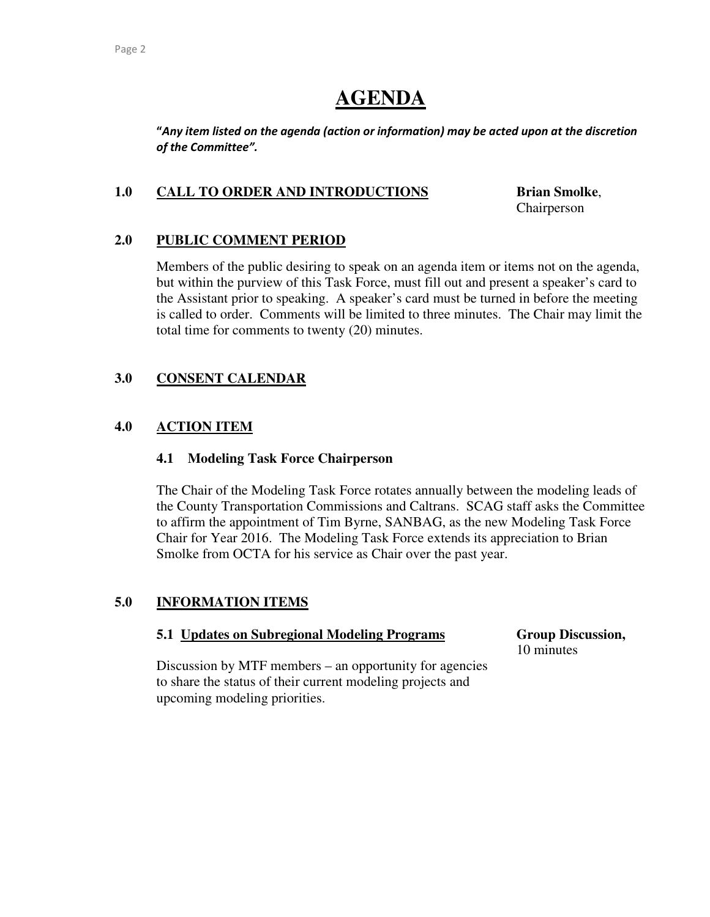# **AGENDA**

"Any item listed on the agenda (action or information) may be acted upon at the discretion of the Committee".

#### **1.0 CALL TO ORDER AND INTRODUCTIONS Brian Smolke**,

Chairperson

#### **2.0 PUBLIC COMMENT PERIOD**

Members of the public desiring to speak on an agenda item or items not on the agenda, but within the purview of this Task Force, must fill out and present a speaker's card to the Assistant prior to speaking. A speaker's card must be turned in before the meeting is called to order. Comments will be limited to three minutes. The Chair may limit the total time for comments to twenty (20) minutes.

## **3.0 CONSENT CALENDAR**

## **4.0 ACTION ITEM**

#### **4.1 Modeling Task Force Chairperson**

The Chair of the Modeling Task Force rotates annually between the modeling leads of the County Transportation Commissions and Caltrans. SCAG staff asks the Committee to affirm the appointment of Tim Byrne, SANBAG, as the new Modeling Task Force Chair for Year 2016. The Modeling Task Force extends its appreciation to Brian Smolke from OCTA for his service as Chair over the past year.

#### **5.0 INFORMATION ITEMS**

#### **5.1 Updates on Subregional Modeling Programs Group Discussion,**

10 minutes

Discussion by MTF members – an opportunity for agencies to share the status of their current modeling projects and upcoming modeling priorities.